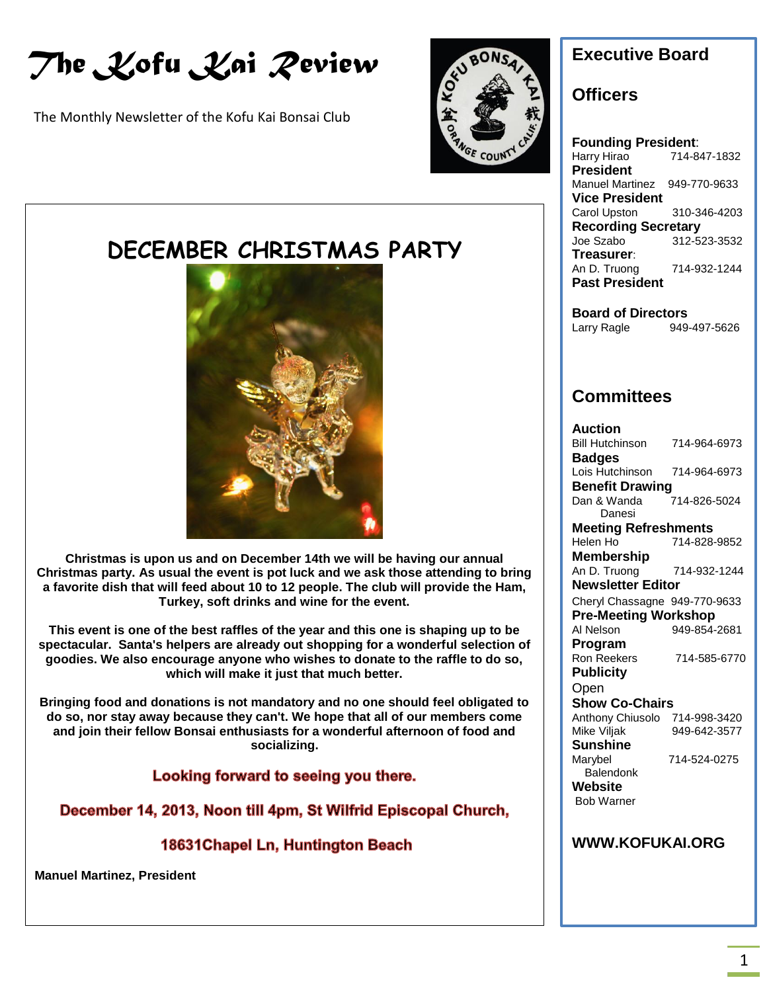*The Kofu Kai Review*

The Monthly Newsletter of the Kofu Kai Bonsai Club



# **DECEMBER CHRISTMAS PARTY**



**UPCOMING EVENTS Christmas is upon us and on December 14th we will be having our annual Christmas party. As usual the event is pot luck and we ask those attending to bring a favorite dish that will feed about 10 to 12 people. The club will provide the Ham, Turkey, soft drinks and wine for the event.**

**This event is one of the best raffles of the year and this one is shaping up to be spectacular. Santa's helpers are already out shopping for a wonderful selection of goodies. We also encourage anyone who wishes to donate to the raffle to do so, which will make it just that much better.**

**Bringing food and donations is not mandatory and no one should feel obligated to do so, nor stay away because they can't. We hope that all of our members come and join their fellow Bonsai enthusiasts for a wonderful afternoon of food and socializing.**

Looking forward to seeing you there.

December 14, 2013, Noon till 4pm, St Wilfrid Episcopal Church,

18631 Chapel Ln, Huntington Beach

**Manuel Martinez, President**

## **Executive Board**

#### **Officers**

**Founding President**: Harry Hirao 714-847-1832 **President** Manuel Martinez 949-770-9633 **Vice President** Carol Upston 310-346-4203 **Recording Secretary** Joe Szabo 312-523-3532 **Treasurer**: An D. Truong 714-932-1244 **Past President**

**Board of Directors** Larry Ragle 949-497-5626

## **Committees**

**Auction** Bill Hutchinson 714-964-6973 **Badges** Lois Hutchinson 714-964-6973 **Benefit Drawing**<br>Dan & Wanda 714-826-5024 Danesi **Meeting Refreshments** Helen Ho 714-828-9852 **Membership** An D. Truong 714-932-1244 **Newsletter Editor** Cheryl Chassagne 949-770-9633 **Pre-Meeting Workshop** Al Nelson 949-854-2681 **Program** Ron Reekers 714-585-6770 **Publicity Open Show Co-Chairs** Anthony Chiusolo 714-998-3420 Mike Viljak 949-642-3577 **Sunshine** Marybel 714-524-0275 **Balendonk Website** Bob Warner

#### **WWW.KOFUKAI.ORG**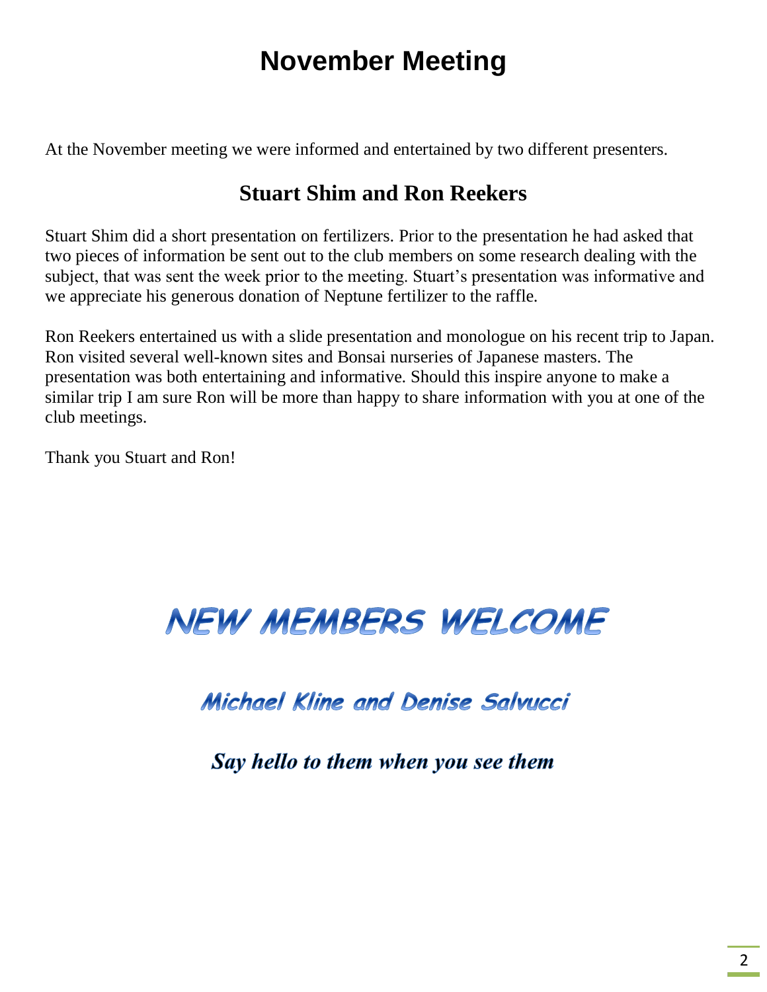# **November Meeting**

At the November meeting we were informed and entertained by two different presenters.

# **Stuart Shim and Ron Reekers**

Stuart Shim did a short presentation on fertilizers. Prior to the presentation he had asked that two pieces of information be sent out to the club members on some research dealing with the subject, that was sent the week prior to the meeting. Stuart's presentation was informative and we appreciate his generous donation of Neptune fertilizer to the raffle.

Ron Reekers entertained us with a slide presentation and monologue on his recent trip to Japan. Ron visited several well-known sites and Bonsai nurseries of Japanese masters. The presentation was both entertaining and informative. Should this inspire anyone to make a similar trip I am sure Ron will be more than happy to share information with you at one of the club meetings.

Thank you Stuart and Ron!

# **NEW MEMBERS WELCOME**

# Michael Kline and Denise Salvucci

Say hello to them when you see them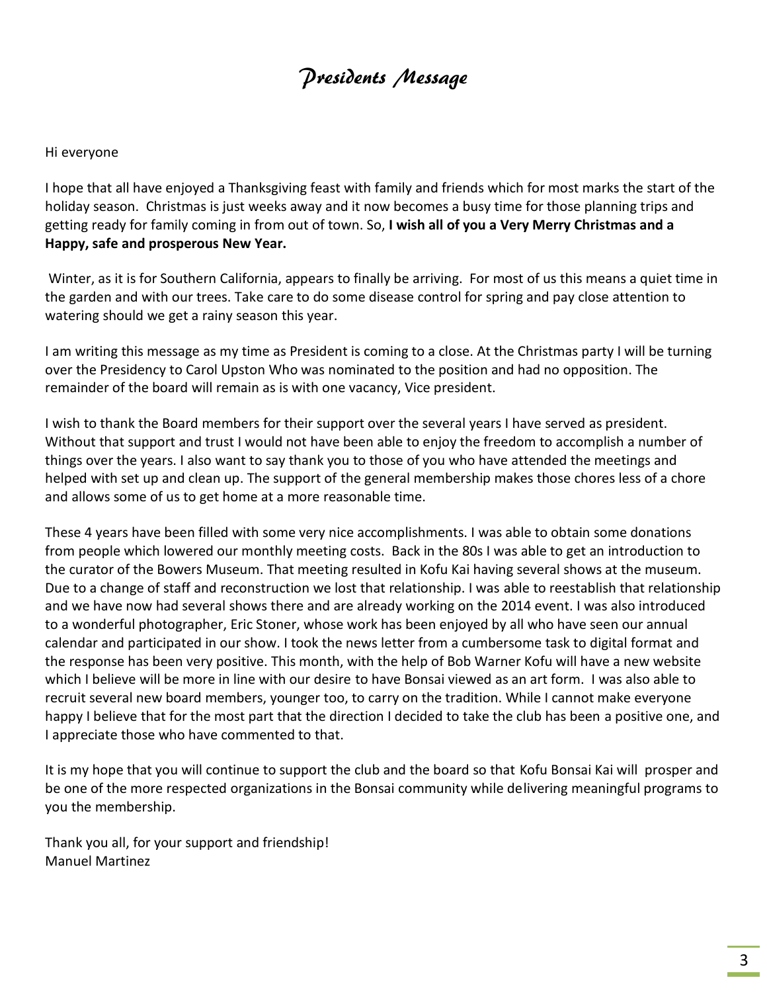# Presidents Message

#### Hi everyone

I hope that all have enjoyed a Thanksgiving feast with family and friends which for most marks the start of the holiday season. Christmas is just weeks away and it now becomes a busy time for those planning trips and getting ready for family coming in from out of town. So, **I wish all of you a Very Merry Christmas and a Happy, safe and prosperous New Year.**

Winter, as it is for Southern California, appears to finally be arriving. For most of us this means a quiet time in the garden and with our trees. Take care to do some disease control for spring and pay close attention to watering should we get a rainy season this year.

I am writing this message as my time as President is coming to a close. At the Christmas party I will be turning over the Presidency to Carol Upston Who was nominated to the position and had no opposition. The remainder of the board will remain as is with one vacancy, Vice president.

I wish to thank the Board members for their support over the several years I have served as president. Without that support and trust I would not have been able to enjoy the freedom to accomplish a number of things over the years. I also want to say thank you to those of you who have attended the meetings and helped with set up and clean up. The support of the general membership makes those chores less of a chore and allows some of us to get home at a more reasonable time.

These 4 years have been filled with some very nice accomplishments. I was able to obtain some donations from people which lowered our monthly meeting costs. Back in the 80s I was able to get an introduction to the curator of the Bowers Museum. That meeting resulted in Kofu Kai having several shows at the museum. Due to a change of staff and reconstruction we lost that relationship. I was able to reestablish that relationship and we have now had several shows there and are already working on the 2014 event. I was also introduced to a wonderful photographer, Eric Stoner, whose work has been enjoyed by all who have seen our annual calendar and participated in our show. I took the news letter from a cumbersome task to digital format and the response has been very positive. This month, with the help of Bob Warner Kofu will have a new website which I believe will be more in line with our desire to have Bonsai viewed as an art form. I was also able to recruit several new board members, younger too, to carry on the tradition. While I cannot make everyone happy I believe that for the most part that the direction I decided to take the club has been a positive one, and I appreciate those who have commented to that.

It is my hope that you will continue to support the club and the board so that Kofu Bonsai Kai will prosper and be one of the more respected organizations in the Bonsai community while delivering meaningful programs to you the membership.

Thank you all, for your support and friendship! Manuel Martinez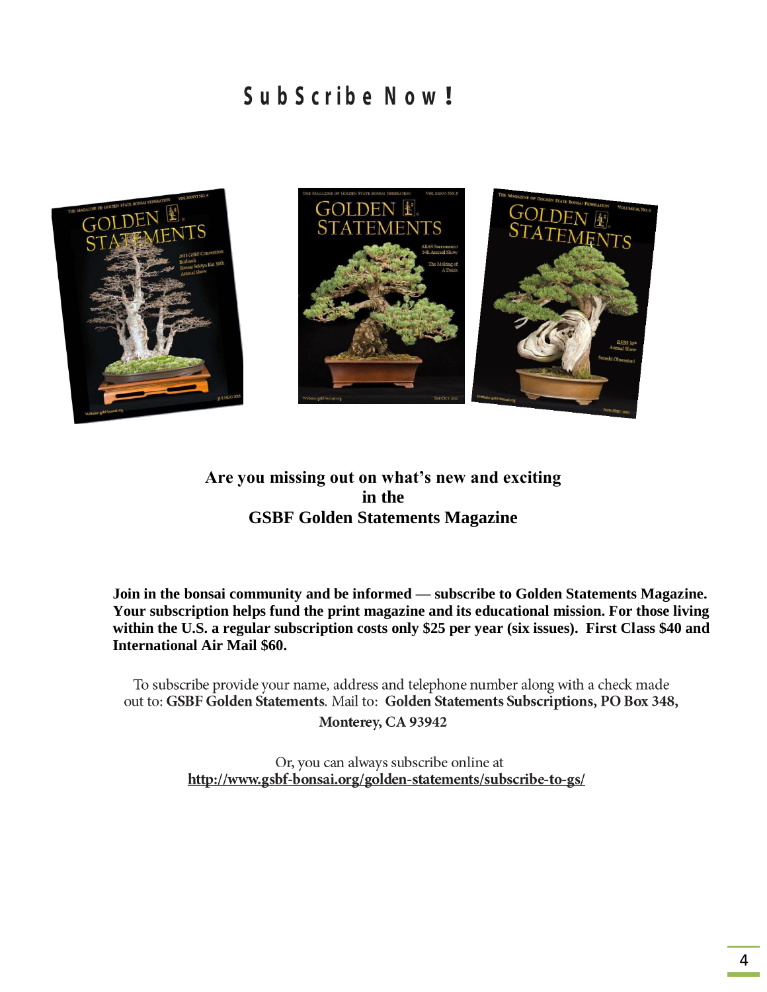# SubScribe Now!



#### **Are you missing out on what's new and exciting in the GSBF Golden Statements Magazine**

**Join in the bonsai community and be informed — subscribe to Golden Statements Magazine. Your subscription helps fund the print magazine and its educational mission. For those living within the U.S. a regular subscription costs only \$25 per year (six issues). First Class \$40 and International Air Mail \$60.**

To subscribe provide your name, address and telephone number along with a check made out to: GSBF Golden Statements. Mail to: Golden Statements Subscriptions, PO Box 348, Monterey, CA 93942

> Or, you can always subscribe online at http://www.gsbf-bonsai.org/golden-statements/subscribe-to-gs/